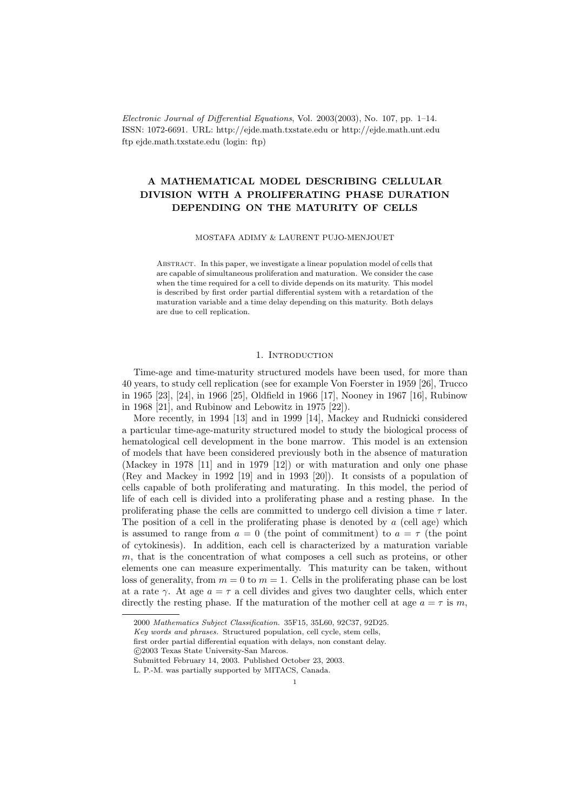Electronic Journal of Differential Equations, Vol. 2003(2003), No. 107, pp. 1–14. ISSN: 1072-6691. URL: http://ejde.math.txstate.edu or http://ejde.math.unt.edu ftp ejde.math.txstate.edu (login: ftp)

# A MATHEMATICAL MODEL DESCRIBING CELLULAR DIVISION WITH A PROLIFERATING PHASE DURATION DEPENDING ON THE MATURITY OF CELLS

MOSTAFA ADIMY & LAURENT PUJO-MENJOUET

Abstract. In this paper, we investigate a linear population model of cells that are capable of simultaneous proliferation and maturation. We consider the case when the time required for a cell to divide depends on its maturity. This model is described by first order partial differential system with a retardation of the maturation variable and a time delay depending on this maturity. Both delays are due to cell replication.

### 1. INTRODUCTION

Time-age and time-maturity structured models have been used, for more than 40 years, to study cell replication (see for example Von Foerster in 1959 [26], Trucco in 1965 [23], [24], in 1966 [25], Oldfield in 1966 [17], Nooney in 1967 [16], Rubinow in 1968 [21], and Rubinow and Lebowitz in 1975 [22]).

More recently, in 1994 [13] and in 1999 [14], Mackey and Rudnicki considered a particular time-age-maturity structured model to study the biological process of hematological cell development in the bone marrow. This model is an extension of models that have been considered previously both in the absence of maturation (Mackey in 1978 [11] and in 1979 [12]) or with maturation and only one phase (Rey and Mackey in 1992 [19] and in 1993 [20]). It consists of a population of cells capable of both proliferating and maturating. In this model, the period of life of each cell is divided into a proliferating phase and a resting phase. In the proliferating phase the cells are committed to undergo cell division a time  $\tau$  later. The position of a cell in the proliferating phase is denoted by  $a$  (cell age) which is assumed to range from  $a = 0$  (the point of commitment) to  $a = \tau$  (the point of cytokinesis). In addition, each cell is characterized by a maturation variable m, that is the concentration of what composes a cell such as proteins, or other elements one can measure experimentally. This maturity can be taken, without loss of generality, from  $m = 0$  to  $m = 1$ . Cells in the proliferating phase can be lost at a rate  $\gamma$ . At age  $a = \tau$  a cell divides and gives two daughter cells, which enter directly the resting phase. If the maturation of the mother cell at age  $a = \tau$  is m,

first order partial differential equation with delays, non constant delay.

<sup>2000</sup> Mathematics Subject Classification. 35F15, 35L60, 92C37, 92D25.

Key words and phrases. Structured population, cell cycle, stem cells,

c 2003 Texas State University-San Marcos.

Submitted February 14, 2003. Published October 23, 2003.

L. P.-M. was partially supported by MITACS, Canada.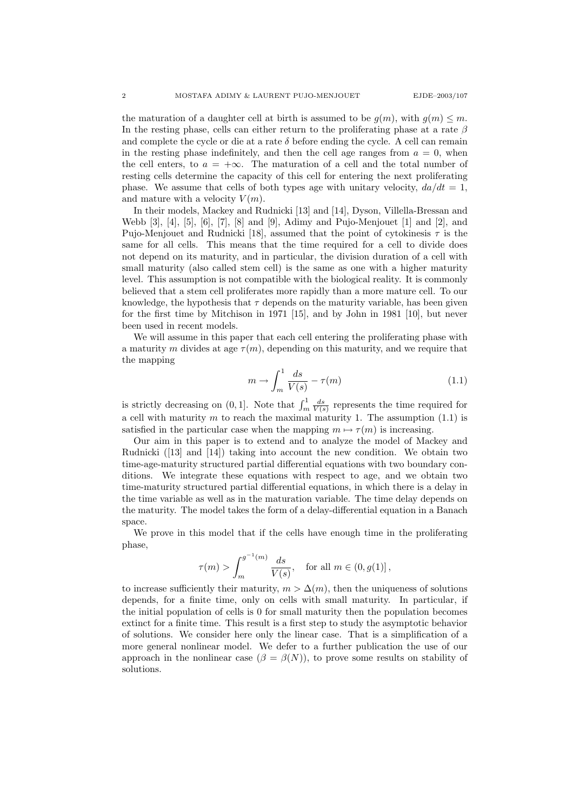the maturation of a daughter cell at birth is assumed to be  $g(m)$ , with  $g(m) \leq m$ . In the resting phase, cells can either return to the proliferating phase at a rate  $\beta$ and complete the cycle or die at a rate  $\delta$  before ending the cycle. A cell can remain in the resting phase indefinitely, and then the cell age ranges from  $a = 0$ , when the cell enters, to  $a = +\infty$ . The maturation of a cell and the total number of resting cells determine the capacity of this cell for entering the next proliferating phase. We assume that cells of both types age with unitary velocity,  $da/dt = 1$ , and mature with a velocity  $V(m)$ .

In their models, Mackey and Rudnicki [13] and [14], Dyson, Villella-Bressan and Webb  $[3]$ ,  $[4]$ ,  $[5]$ ,  $[6]$ ,  $[7]$ ,  $[8]$  and  $[9]$ , Adimy and Pujo-Menjouet  $[1]$  and  $[2]$ , and Pujo-Menjouet and Rudnicki [18], assumed that the point of cytokinesis  $\tau$  is the same for all cells. This means that the time required for a cell to divide does not depend on its maturity, and in particular, the division duration of a cell with small maturity (also called stem cell) is the same as one with a higher maturity level. This assumption is not compatible with the biological reality. It is commonly believed that a stem cell proliferates more rapidly than a more mature cell. To our knowledge, the hypothesis that  $\tau$  depends on the maturity variable, has been given for the first time by Mitchison in 1971 [15], and by John in 1981 [10], but never been used in recent models.

We will assume in this paper that each cell entering the proliferating phase with a maturity m divides at age  $\tau(m)$ , depending on this maturity, and we require that the mapping

$$
m \to \int_{m}^{1} \frac{ds}{V(s)} - \tau(m) \tag{1.1}
$$

is strictly decreasing on  $(0, 1]$ . Note that  $\int_m^1 \frac{ds}{V(s)}$  represents the time required for a cell with maturity  $m$  to reach the maximal maturity 1. The assumption (1.1) is satisfied in the particular case when the mapping  $m \mapsto \tau(m)$  is increasing.

Our aim in this paper is to extend and to analyze the model of Mackey and Rudnicki ([13] and [14]) taking into account the new condition. We obtain two time-age-maturity structured partial differential equations with two boundary conditions. We integrate these equations with respect to age, and we obtain two time-maturity structured partial differential equations, in which there is a delay in the time variable as well as in the maturation variable. The time delay depends on the maturity. The model takes the form of a delay-differential equation in a Banach space.

We prove in this model that if the cells have enough time in the proliferating phase,

$$
\tau(m) > \int_m^{g^{-1}(m)} \frac{ds}{V(s)},
$$
 for all  $m \in (0, g(1)],$ 

to increase sufficiently their maturity,  $m > \Delta(m)$ , then the uniqueness of solutions depends, for a finite time, only on cells with small maturity. In particular, if the initial population of cells is 0 for small maturity then the population becomes extinct for a finite time. This result is a first step to study the asymptotic behavior of solutions. We consider here only the linear case. That is a simplification of a more general nonlinear model. We defer to a further publication the use of our approach in the nonlinear case  $(\beta = \beta(N))$ , to prove some results on stability of solutions.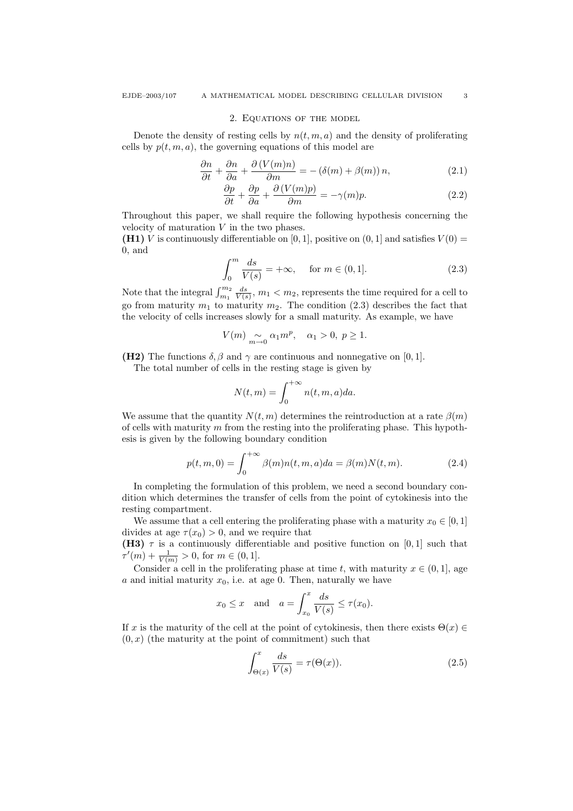#### 2. Equations of the model

Denote the density of resting cells by  $n(t, m, a)$  and the density of proliferating cells by  $p(t, m, a)$ , the governing equations of this model are

$$
\frac{\partial n}{\partial t} + \frac{\partial n}{\partial a} + \frac{\partial (V(m)n)}{\partial m} = -(\delta(m) + \beta(m)) n,
$$
\n(2.1)

$$
\frac{\partial p}{\partial t} + \frac{\partial p}{\partial a} + \frac{\partial (V(m)p)}{\partial m} = -\gamma(m)p.
$$
 (2.2)

Throughout this paper, we shall require the following hypothesis concerning the velocity of maturation  $V$  in the two phases.

(H1) V is continuously differentiable on [0, 1], positive on  $(0, 1]$  and satisfies  $V(0)$  = 0, and

$$
\int_0^m \frac{ds}{V(s)} = +\infty, \quad \text{ for } m \in (0, 1]. \tag{2.3}
$$

Note that the integral  $\int_{m_1}^{m_2} \frac{ds}{V(s)}$ ,  $m_1 < m_2$ , represents the time required for a cell to go from maturity  $m_1$  to maturity  $m_2$ . The condition (2.3) describes the fact that the velocity of cells increases slowly for a small maturity. As example, we have

$$
V(m) \underset{m \to 0}{\sim} \alpha_1 m^p, \quad \alpha_1 > 0, \ p \ge 1.
$$

(H2) The functions  $\delta$ ,  $\beta$  and  $\gamma$  are continuous and nonnegative on [0, 1].

The total number of cells in the resting stage is given by

$$
N(t, m) = \int_0^{+\infty} n(t, m, a) da.
$$

We assume that the quantity  $N(t, m)$  determines the reintroduction at a rate  $\beta(m)$ of cells with maturity  $m$  from the resting into the proliferating phase. This hypothesis is given by the following boundary condition

$$
p(t, m, 0) = \int_0^{+\infty} \beta(m)n(t, m, a)da = \beta(m)N(t, m).
$$
 (2.4)

In completing the formulation of this problem, we need a second boundary condition which determines the transfer of cells from the point of cytokinesis into the resting compartment.

We assume that a cell entering the proliferating phase with a maturity  $x_0 \in [0, 1]$ divides at age  $\tau(x_0) > 0$ , and we require that

(H3)  $\tau$  is a continuously differentiable and positive function on [0,1] such that  $\tau'(m) + \frac{1}{V(m)} > 0$ , for  $m \in (0, 1]$ .

Consider a cell in the proliferating phase at time t, with maturity  $x \in (0,1]$ , age a and initial maturity  $x_0$ , i.e. at age 0. Then, naturally we have

$$
x_0 \leq x
$$
 and  $a = \int_{x_0}^x \frac{ds}{V(s)} \leq \tau(x_0).$ 

If x is the maturity of the cell at the point of cytokinesis, then there exists  $\Theta(x) \in$  $(0, x)$  (the maturity at the point of commitment) such that

$$
\int_{\Theta(x)}^{x} \frac{ds}{V(s)} = \tau(\Theta(x)).
$$
\n(2.5)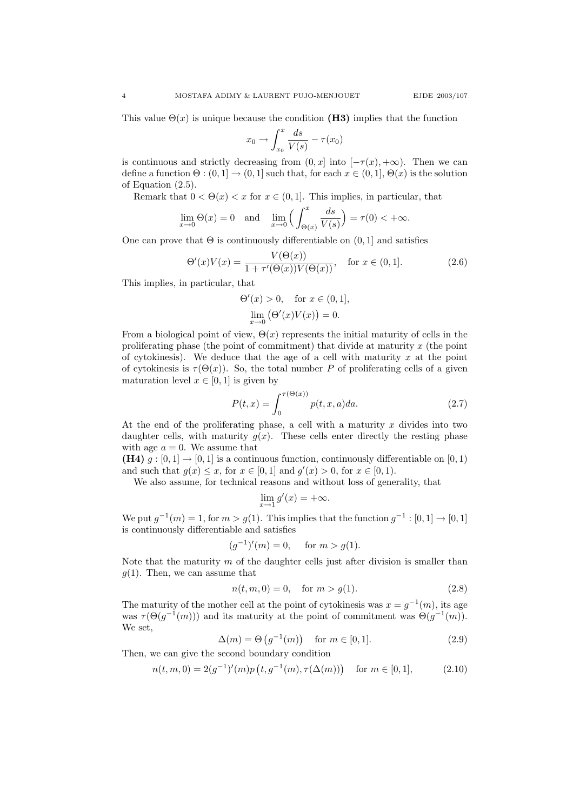This value  $\Theta(x)$  is unique because the condition (H3) implies that the function

$$
x_0 \to \int_{x_0}^x \frac{ds}{V(s)} - \tau(x_0)
$$

is continuous and strictly decreasing from  $(0, x]$  into  $[-\tau(x), +\infty)$ . Then we can define a function  $\Theta : (0,1] \to (0,1]$  such that, for each  $x \in (0,1]$ ,  $\Theta(x)$  is the solution of Equation (2.5).

Remark that  $0 < \Theta(x) < x$  for  $x \in (0, 1]$ . This implies, in particular, that

$$
\lim_{x \to 0} \Theta(x) = 0 \quad \text{and} \quad \lim_{x \to 0} \left( \int_{\Theta(x)}^x \frac{ds}{V(s)} \right) = \tau(0) < +\infty.
$$

One can prove that  $\Theta$  is continuously differentiable on  $(0, 1]$  and satisfies

$$
\Theta'(x)V(x) = \frac{V(\Theta(x))}{1 + \tau'(\Theta(x))V(\Theta(x))}, \quad \text{for } x \in (0, 1].
$$
 (2.6)

This implies, in particular, that

$$
\Theta'(x) > 0
$$
, for  $x \in (0, 1]$ ,  
\n $\lim_{x \to 0} (\Theta'(x)V(x)) = 0$ .

From a biological point of view,  $\Theta(x)$  represents the initial maturity of cells in the proliferating phase (the point of commitment) that divide at maturity  $x$  (the point of cytokinesis). We deduce that the age of a cell with maturity  $x$  at the point of cytokinesis is  $\tau(\Theta(x))$ . So, the total number P of proliferating cells of a given maturation level  $x \in [0, 1]$  is given by

$$
P(t,x) = \int_0^{\tau(\Theta(x))} p(t,x,a)da.
$$
 (2.7)

At the end of the proliferating phase, a cell with a maturity  $x$  divides into two daughter cells, with maturity  $g(x)$ . These cells enter directly the resting phase with age  $a = 0$ . We assume that

(H4)  $q : [0, 1] \rightarrow [0, 1]$  is a continuous function, continuously differentiable on [0, 1] and such that  $g(x) \le x$ , for  $x \in [0,1]$  and  $g'(x) > 0$ , for  $x \in [0,1)$ .

We also assume, for technical reasons and without loss of generality, that

$$
\lim_{x \to 1} g'(x) = +\infty.
$$

We put  $g^{-1}(m) = 1$ , for  $m > g(1)$ . This implies that the function  $g^{-1} : [0, 1] \rightarrow [0, 1]$ is continuously differentiable and satisfies

$$
(g^{-1})'(m) = 0
$$
, for  $m > g(1)$ .

Note that the maturity  $m$  of the daughter cells just after division is smaller than  $g(1)$ . Then, we can assume that

$$
n(t, m, 0) = 0, \quad \text{for } m > g(1). \tag{2.8}
$$

The maturity of the mother cell at the point of cytokinesis was  $x = g^{-1}(m)$ , its age was  $\tau(\Theta(g^{-1}(m)))$  and its maturity at the point of commitment was  $\Theta(g^{-1}(m))$ . We set,

$$
\Delta(m) = \Theta\left(g^{-1}(m)\right) \quad \text{for } m \in [0, 1]. \tag{2.9}
$$

Then, we can give the second boundary condition

$$
n(t, m, 0) = 2(g^{-1})'(m)p(t, g^{-1}(m), \tau(\Delta(m))) \quad \text{for } m \in [0, 1], \tag{2.10}
$$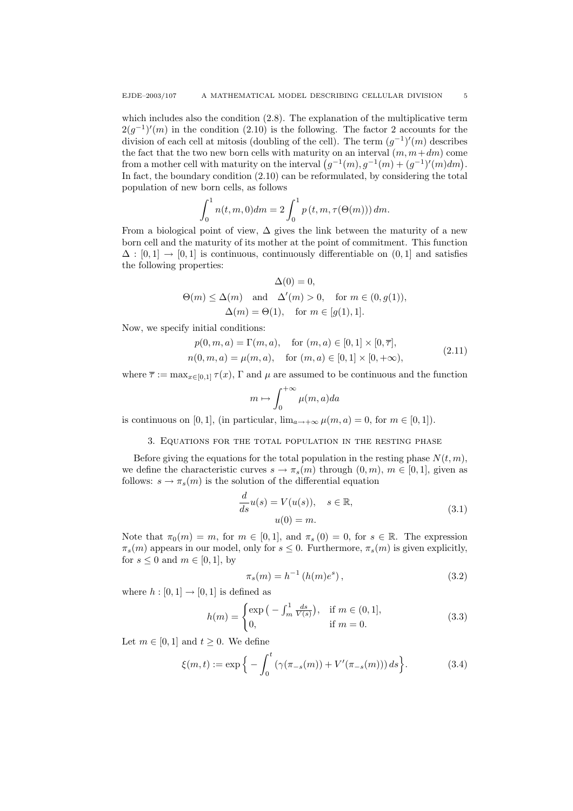which includes also the condition  $(2.8)$ . The explanation of the multiplicative term  $2(g^{-1})'(m)$  in the condition (2.10) is the following. The factor 2 accounts for the division of each cell at mitosis (doubling of the cell). The term  $(g^{-1})'(m)$  describes the fact that the two new born cells with maturity on an interval  $(m, m+dm)$  come from a mother cell with maturity on the interval  $(g^{-1}(m), g^{-1}(m) + (g^{-1})'(m)dm$ . In fact, the boundary condition (2.10) can be reformulated, by considering the total population of new born cells, as follows

$$
\int_0^1 n(t, m, 0) dm = 2 \int_0^1 p(t, m, \tau(\Theta(m))) dm.
$$

From a biological point of view,  $\Delta$  gives the link between the maturity of a new born cell and the maturity of its mother at the point of commitment. This function  $\Delta : [0,1] \rightarrow [0,1]$  is continuous, continuously differentiable on  $(0,1]$  and satisfies the following properties:

$$
\Delta(0) = 0,
$$
  
\n
$$
\Theta(m) \le \Delta(m) \quad \text{and} \quad \Delta'(m) > 0, \quad \text{for } m \in (0, g(1)),
$$
  
\n
$$
\Delta(m) = \Theta(1), \quad \text{for } m \in [g(1), 1].
$$

Now, we specify initial conditions:

$$
p(0, m, a) = \Gamma(m, a), \quad \text{for } (m, a) \in [0, 1] \times [0, \overline{\tau}],
$$
  
\n
$$
n(0, m, a) = \mu(m, a), \quad \text{for } (m, a) \in [0, 1] \times [0, +\infty),
$$
\n(2.11)

where  $\bar{\tau} := \max_{x \in [0,1]} \tau(x)$ ,  $\Gamma$  and  $\mu$  are assumed to be continuous and the function

$$
m \mapsto \int_0^{+\infty} \mu(m, a) da
$$

is continuous on [0, 1], (in particular,  $\lim_{a\to\infty} \mu(m, a) = 0$ , for  $m \in [0, 1]$ ).

3. Equations for the total population in the resting phase

Before giving the equations for the total population in the resting phase  $N(t, m)$ , we define the characteristic curves  $s \to \pi_s(m)$  through  $(0, m)$ ,  $m \in [0, 1]$ , given as follows:  $s \to \pi_s(m)$  is the solution of the differential equation

$$
\frac{d}{ds}u(s) = V(u(s)), \quad s \in \mathbb{R},
$$
  

$$
u(0) = m.
$$
 (3.1)

Note that  $\pi_0(m) = m$ , for  $m \in [0, 1]$ , and  $\pi_s(0) = 0$ , for  $s \in \mathbb{R}$ . The expression  $\pi_s(m)$  appears in our model, only for  $s \leq 0$ . Furthermore,  $\pi_s(m)$  is given explicitly, for  $s \leq 0$  and  $m \in [0, 1]$ , by

$$
\pi_s(m) = h^{-1} (h(m)e^s), \tag{3.2}
$$

where  $h : [0, 1] \rightarrow [0, 1]$  is defined as

$$
h(m) = \begin{cases} \exp\left(-\int_{m}^{1} \frac{ds}{V(s)}\right), & \text{if } m \in (0, 1],\\ 0, & \text{if } m = 0. \end{cases}
$$
 (3.3)

Let  $m \in [0, 1]$  and  $t \geq 0$ . We define

$$
\xi(m,t) := \exp\Big\{-\int_0^t (\gamma(\pi_{-s}(m)) + V'(\pi_{-s}(m))) ds\Big\}.
$$
 (3.4)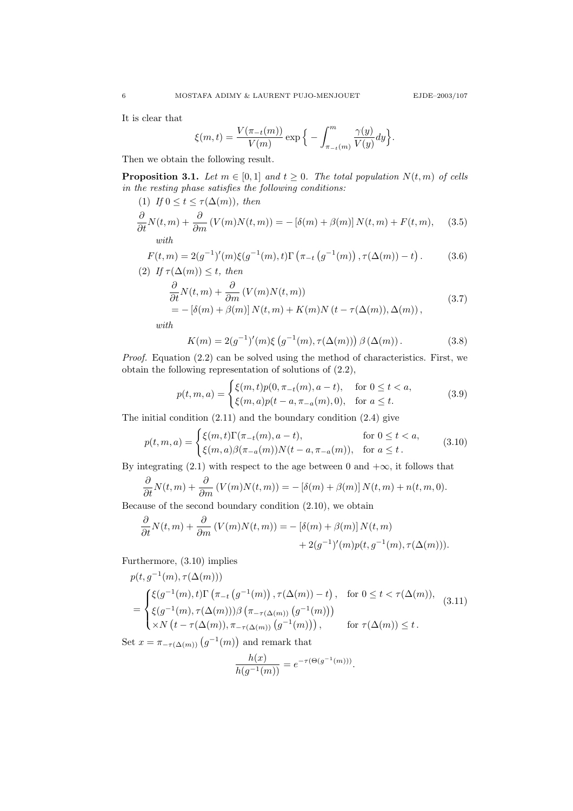.

It is clear that

$$
\xi(m,t) = \frac{V(\pi_{-t}(m))}{V(m)} \exp\Big\{-\int_{\pi_{-t}(m)}^m \frac{\gamma(y)}{V(y)} dy\Big\}
$$

Then we obtain the following result.

**Proposition 3.1.** Let  $m \in [0,1]$  and  $t \geq 0$ . The total population  $N(t, m)$  of cells in the resting phase satisfies the following conditions:

(1) If 
$$
0 \le t \le \tau(\Delta(m))
$$
, then  
\n
$$
\frac{\partial}{\partial t} N(t, m) + \frac{\partial}{\partial m} (V(m)N(t, m)) = -[\delta(m) + \beta(m)] N(t, m) + F(t, m),
$$
\n(3.5)

$$
F(t, m) = 2(g^{-1})'(m)\xi(g^{-1}(m), t)\Gamma(\pi_{-t}(g^{-1}(m)), \tau(\Delta(m)) - t).
$$
 (3.6)  
(2) If  $\tau(\Delta(m)) \le t$ , then

$$
\frac{\partial}{\partial t} N(t, m) + \frac{\partial}{\partial m} (V(m)N(t, m))
$$
\n
$$
= -\left[\delta(m) + \beta(m)\right] N(t, m) + K(m)N(t - \tau(\Delta(m)), \Delta(m)), \tag{3.7}
$$

with

$$
K(m) = 2(g^{-1})'(m)\xi(g^{-1}(m), \tau(\Delta(m))) \beta(\Delta(m)).
$$
 (3.8)

Proof. Equation (2.2) can be solved using the method of characteristics. First, we obtain the following representation of solutions of (2.2),

$$
p(t, m, a) = \begin{cases} \xi(m, t)p(0, \pi_{-t}(m), a - t), & \text{for } 0 \le t < a, \\ \xi(m, a)p(t - a, \pi_{-a}(m), 0), & \text{for } a \le t. \end{cases}
$$
(3.9)

The initial condition (2.11) and the boundary condition (2.4) give

$$
p(t, m, a) = \begin{cases} \xi(m, t)\Gamma(\pi_{-t}(m), a - t), & \text{for } 0 \le t < a, \\ \xi(m, a)\beta(\pi_{-a}(m))N(t - a, \pi_{-a}(m)), & \text{for } a \le t. \end{cases}
$$
(3.10)

By integrating (2.1) with respect to the age between 0 and  $+\infty$ , it follows that

$$
\frac{\partial}{\partial t}N(t,m) + \frac{\partial}{\partial m}\left(V(m)N(t,m)\right) = -\left[\delta(m) + \beta(m)\right]N(t,m) + n(t,m,0).
$$

Because of the second boundary condition (2.10), we obtain

$$
\frac{\partial}{\partial t}N(t,m) + \frac{\partial}{\partial m}(V(m)N(t,m)) = -\left[\delta(m) + \beta(m)\right]N(t,m) + 2(g^{-1})'(m)p(t,g^{-1}(m),\tau(\Delta(m))).
$$

Furthermore, (3.10) implies

$$
p(t, g^{-1}(m), \tau(\Delta(m)))
$$
\n
$$
= \begin{cases} \xi(g^{-1}(m), t) \Gamma(\pi_{-t}(g^{-1}(m)), \tau(\Delta(m)) - t), & \text{for } 0 \le t < \tau(\Delta(m)), \\ \xi(g^{-1}(m), \tau(\Delta(m))) \beta(\pi_{-\tau(\Delta(m))}(g^{-1}(m))) \\ \times N(t - \tau(\Delta(m)), \pi_{-\tau(\Delta(m))}(g^{-1}(m))) & \text{for } \tau(\Delta(m)) \le t. \end{cases}
$$
\n(3.11)

Set  $x = \pi_{-\tau(\Delta(m))}(g^{-1}(m))$  and remark that

$$
\frac{h(x)}{h(g^{-1}(m))} = e^{-\tau(\Theta(g^{-1}(m)))}.
$$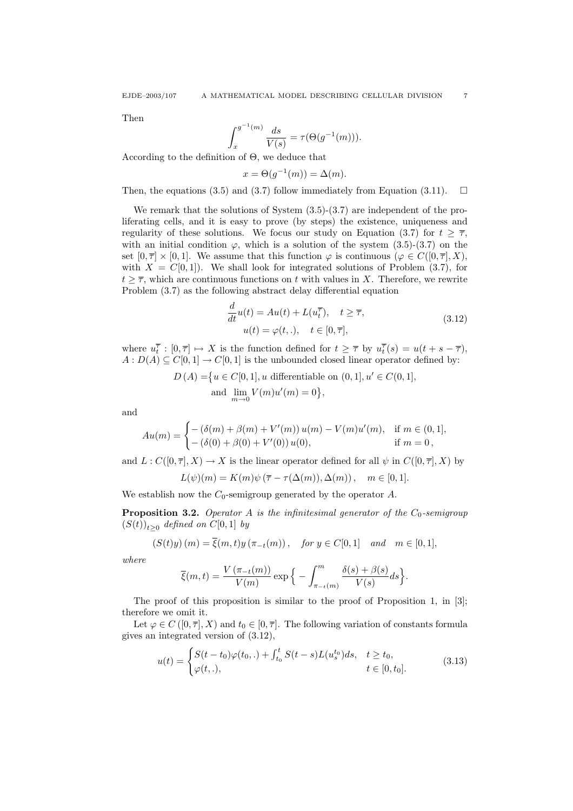Then

$$
\int_{x}^{g^{-1}(m)} \frac{ds}{V(s)} = \tau(\Theta(g^{-1}(m))).
$$

According to the definition of Θ, we deduce that

$$
x = \Theta(g^{-1}(m)) = \Delta(m).
$$

Then, the equations (3.5) and (3.7) follow immediately from Equation (3.11).  $\Box$ 

We remark that the solutions of System (3.5)-(3.7) are independent of the proliferating cells, and it is easy to prove (by steps) the existence, uniqueness and regularity of these solutions. We focus our study on Equation (3.7) for  $t \geq \overline{\tau}$ , with an initial condition  $\varphi$ , which is a solution of the system (3.5)-(3.7) on the set  $[0, \overline{\tau}] \times [0, 1]$ . We assume that this function  $\varphi$  is continuous  $(\varphi \in C([0, \overline{\tau}], X))$ , with  $X = C[0, 1]$ . We shall look for integrated solutions of Problem (3.7), for  $t \geq \overline{\tau}$ , which are continuous functions on t with values in X. Therefore, we rewrite Problem (3.7) as the following abstract delay differential equation

$$
\frac{d}{dt}u(t) = Au(t) + L(u_t^{\overline{\tau}}), \quad t \ge \overline{\tau},
$$
  
\n
$$
u(t) = \varphi(t,.), \quad t \in [0, \overline{\tau}],
$$
\n(3.12)

where  $u_t^{\overline{\tau}} : [0, \overline{\tau}] \mapsto X$  is the function defined for  $t \geq \overline{\tau}$  by  $u_t^{\overline{\tau}}(s) = u(t + s - \overline{\tau}),$  $A: D(A) \subseteq C[0,1] \rightarrow C[0,1]$  is the unbounded closed linear operator defined by:

$$
D(A) = \{ u \in C[0, 1], u \text{ differentiable on } (0, 1], u' \in C(0, 1],
$$
  
and  $\lim_{m \to 0} V(m)u'(m) = 0 \},$ 

and

$$
Au(m) = \begin{cases} -(\delta(m) + \beta(m) + V'(m)) u(m) - V(m)u'(m), & \text{if } m \in (0, 1], \\ -(\delta(0) + \beta(0) + V'(0)) u(0), & \text{if } m = 0, \end{cases}
$$

and  $L: C([0, \overline{\tau}], X) \to X$  is the linear operator defined for all  $\psi$  in  $C([0, \overline{\tau}], X)$  by  $L(\psi)(m) = K(m)\psi(\overline{\tau} - \tau(\Delta(m)), \Delta(m)), \quad m \in [0, 1].$ 

We establish now the  $C_0$ -semigroup generated by the operator A.

**Proposition 3.2.** Operator A is the infinitesimal generator of the  $C_0$ -semigroup  $(S(t))_{t\geq0}$  defined on  $C[0,1]$  by

$$
(S(t)y)(m) = \overline{\xi}(m,t)y(\pi_{-t}(m)), \text{ for } y \in C[0,1] \text{ and } m \in [0,1],
$$

where

$$
\overline{\xi}(m,t) = \frac{V\left(\pi_{-t}(m)\right)}{V(m)} \exp\Big\{-\int_{\pi_{-t}(m)}^m \frac{\delta(s) + \beta(s)}{V(s)} ds\Big\}.
$$

The proof of this proposition is similar to the proof of Proposition 1, in [3]; therefore we omit it.

Let  $\varphi \in C([0, \overline{\tau}], X)$  and  $t_0 \in [0, \overline{\tau}]$ . The following variation of constants formula gives an integrated version of (3.12),

$$
u(t) = \begin{cases} S(t - t_0)\varphi(t_0,.) + \int_{t_0}^t S(t - s)L(u_s^{t_0})ds, & t \ge t_0, \\ \varphi(t,.), & t \in [0, t_0]. \end{cases}
$$
(3.13)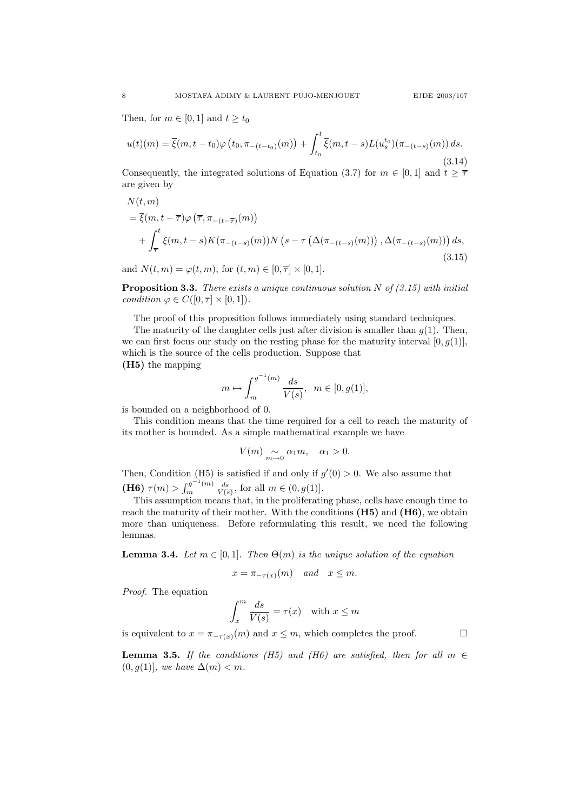Then, for  $m \in [0, 1]$  and  $t \geq t_0$ 

$$
u(t)(m) = \overline{\xi}(m, t - t_0)\varphi(t_0, \pi_{-(t - t_0)}(m)) + \int_{t_0}^t \overline{\xi}(m, t - s)L(u_s^{t_0})(\pi_{-(t - s)}(m)) ds.
$$
\n(3.14)

Consequently, the integrated solutions of Equation (3.7) for  $m \in [0, 1]$  and  $t \geq \overline{\tau}$ are given by

$$
N(t, m)
$$
  
=  $\overline{\xi}(m, t - \overline{\tau})\varphi(\overline{\tau}, \pi_{-(t-\overline{\tau})}(m))$   
+  $\int_{\overline{\tau}}^{t} \overline{\xi}(m, t - s) K(\pi_{-(t-s)}(m)) N(s - \tau(\Delta(\pi_{-(t-s)}(m))) , \Delta(\pi_{-(t-s)}(m))) ds,$   
(3.15)

and  $N(t, m) = \varphi(t, m)$ , for  $(t, m) \in [0, \overline{\tau}] \times [0, 1]$ .

**Proposition 3.3.** There exists a unique continuous solution N of  $(3.15)$  with initial condition  $\varphi \in C([0, \overline{\tau}] \times [0, 1]).$ 

The proof of this proposition follows immediately using standard techniques.

The maturity of the daughter cells just after division is smaller than  $g(1)$ . Then, we can first focus our study on the resting phase for the maturity interval  $[0, g(1)]$ , which is the source of the cells production. Suppose that (H5) the mapping

$$
m \mapsto \int_{m}^{g^{-1}(m)} \frac{ds}{V(s)}, \ \ m \in [0, g(1)],
$$

is bounded on a neighborhood of 0.

This condition means that the time required for a cell to reach the maturity of its mother is bounded. As a simple mathematical example we have

$$
V(m) \underset{m \to 0}{\sim} \alpha_1 m, \quad \alpha_1 > 0.
$$

Then, Condition (H5) is satisfied if and only if  $g'(0) > 0$ . We also assume that (H6)  $\tau(m) > \int_m^{g^{-1}(m)}$  $\frac{G}{m}^{g^{-1}(m)} \frac{ds}{V(s)}$ , for all  $m \in (0, g(1)].$ 

This assumption means that, in the proliferating phase, cells have enough time to reach the maturity of their mother. With the conditions (H5) and (H6), we obtain more than uniqueness. Before reformulating this result, we need the following lemmas.

**Lemma 3.4.** Let  $m \in [0, 1]$ . Then  $\Theta(m)$  is the unique solution of the equation

$$
x = \pi_{-\tau(x)}(m) \quad and \quad x \le m.
$$

Proof. The equation

$$
\int_{x}^{m} \frac{ds}{V(s)} = \tau(x) \quad \text{with } x \le m
$$

is equivalent to  $x = \pi_{-\tau(x)}(m)$  and  $x \leq m$ , which completes the proof.

**Lemma 3.5.** If the conditions (H5) and (H6) are satisfied, then for all  $m \in$  $(0, g(1))$ , we have  $\Delta(m) < m$ .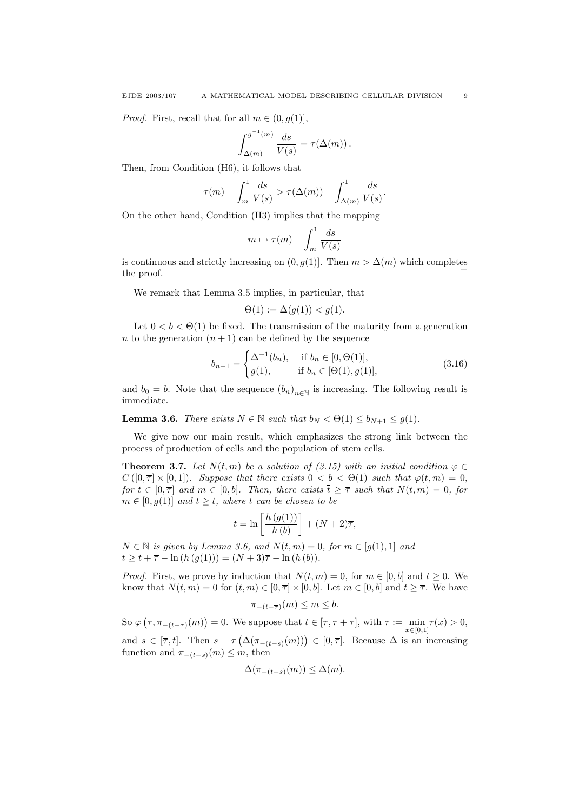*Proof.* First, recall that for all  $m \in (0, g(1))$ ,

$$
\int_{\Delta(m)}^{g^{-1}(m)} \frac{ds}{V(s)} = \tau(\Delta(m)).
$$

Then, from Condition (H6), it follows that

$$
\tau(m) - \int_m^1 \frac{ds}{V(s)} > \tau(\Delta(m)) - \int_{\Delta(m)}^1 \frac{ds}{V(s)}.
$$

On the other hand, Condition (H3) implies that the mapping

$$
m \mapsto \tau(m) - \int_m^1 \frac{ds}{V(s)}
$$

is continuous and strictly increasing on  $(0, q(1))$ . Then  $m > \Delta(m)$  which completes the proof.  $\Box$ 

We remark that Lemma 3.5 implies, in particular, that

$$
\Theta(1) := \Delta(g(1)) < g(1).
$$

Let  $0 < b < \Theta(1)$  be fixed. The transmission of the maturity from a generation n to the generation  $(n + 1)$  can be defined by the sequence

$$
b_{n+1} = \begin{cases} \Delta^{-1}(b_n), & \text{if } b_n \in [0, \Theta(1)], \\ g(1), & \text{if } b_n \in [\Theta(1), g(1)], \end{cases}
$$
(3.16)

and  $b_0 = b$ . Note that the sequence  $(b_n)_{n \in \mathbb{N}}$  is increasing. The following result is immediate.

**Lemma 3.6.** There exists  $N \in \mathbb{N}$  such that  $b_N < \Theta(1) \le b_{N+1} \le g(1)$ .

We give now our main result, which emphasizes the strong link between the process of production of cells and the population of stem cells.

**Theorem 3.7.** Let  $N(t, m)$  be a solution of (3.15) with an initial condition  $\varphi \in$  $C([0, \overline{\tau}] \times [0, 1])$ . Suppose that there exists  $0 < b < \Theta(1)$  such that  $\varphi(t, m) = 0$ , for  $t \in [0, \overline{\tau}]$  and  $m \in [0, b]$ . Then, there exists  $\overline{t} \geq \overline{\tau}$  such that  $N(t, m) = 0$ , for  $m \in [0, g(1)]$  and  $t \geq \overline{t}$ , where  $\overline{t}$  can be chosen to be

$$
\bar{t} = \ln\left[\frac{h\left(g(1)\right)}{h\left(b\right)}\right] + (N+2)\overline{\tau},
$$

 $N \in \mathbb{N}$  is given by Lemma 3.6, and  $N(t, m) = 0$ , for  $m \in [g(1), 1]$  and  $t \geq \overline{t} + \overline{\tau} - \ln(h(g(1))) = (N + 3)\overline{\tau} - \ln(h(b)).$ 

*Proof.* First, we prove by induction that  $N(t, m) = 0$ , for  $m \in [0, b]$  and  $t \ge 0$ . We know that  $N(t, m) = 0$  for  $(t, m) \in [0, \overline{\tau}] \times [0, b]$ . Let  $m \in [0, b]$  and  $t \geq \overline{\tau}$ . We have

$$
\pi_{-(t-\overline{\tau})}(m) \le m \le b.
$$

So  $\varphi\left(\overline{\tau}, \pi_{-(t-\overline{\tau})}(m)\right) = 0$ . We suppose that  $t \in [\overline{\tau}, \overline{\tau} + \underline{\tau}],$  with  $\underline{\tau} := \min_{x \in [0,1]} \tau(x) > 0$ ,

and  $s \in [\overline{\tau}, t]$ . Then  $s - \tau \left( \Delta(\pi_{-(t-s)}(m)) \right) \in [0, \overline{\tau}]$ . Because  $\Delta$  is an increasing function and  $\pi_{-(t-s)}(m) \leq m$ , then

$$
\Delta(\pi_{-(t-s)}(m)) \le \Delta(m).
$$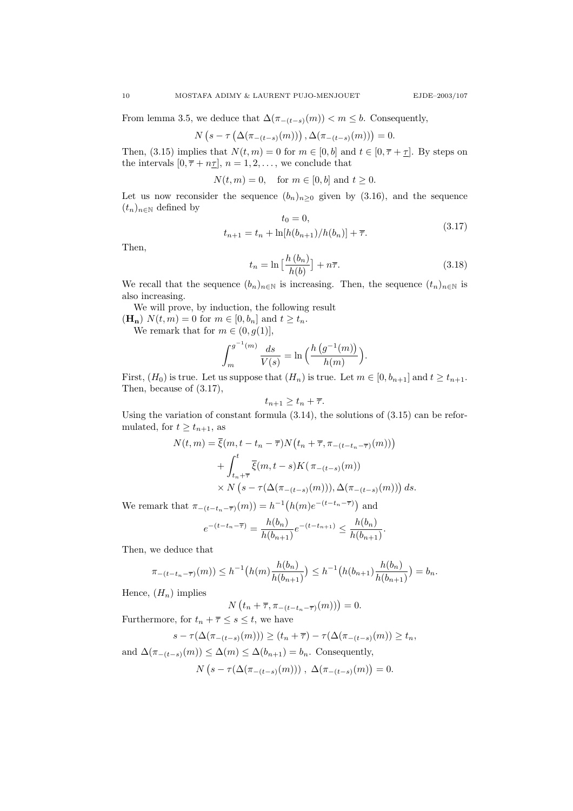From lemma 3.5, we deduce that  $\Delta(\pi_{-(t-s)}(m)) < m \leq b$ . Consequently,

$$
N\left(s-\tau\left(\Delta(\pi_{-(t-s)}(m))\right),\Delta(\pi_{-(t-s)}(m))\right)=0.
$$

Then, (3.15) implies that  $N(t, m) = 0$  for  $m \in [0, b]$  and  $t \in [0, \overline{\tau} + \underline{\tau}]$ . By steps on the intervals  $[0, \overline{\tau} + n\underline{\tau}], n = 1, 2, \ldots$ , we conclude that

 $N(t, m) = 0$ , for  $m \in [0, b]$  and  $t \ge 0$ .

Let us now reconsider the sequence  $(b_n)_{n\geq 0}$  given by (3.16), and the sequence  $(t_n)_{n\in\mathbb{N}}$  defined by  $\sqrt{10}$  = 0

$$
t_0 = 0,
$$
  
\n
$$
t_{n+1} = t_n + \ln[h(b_{n+1})/h(b_n)] + \overline{\tau}.
$$
\n(3.17)

Then,

$$
t_n = \ln\left[\frac{h\left(b_n\right)}{h(b)}\right] + n\overline{\tau}.\tag{3.18}
$$

We recall that the sequence  $(b_n)_{n\in\mathbb{N}}$  is increasing. Then, the sequence  $(t_n)_{n\in\mathbb{N}}$  is also increasing.

We will prove, by induction, the following result  $(\mathbf{H}_{n})$   $N(t, m) = 0$  for  $m \in [0, b_n]$  and  $t \geq t_n$ .

We remark that for  $m \in (0, g(1)],$ 

$$
\int_{m}^{g^{-1}(m)} \frac{ds}{V(s)} = \ln \Big( \frac{h(g^{-1}(m))}{h(m)} \Big).
$$

First,  $(H_0)$  is true. Let us suppose that  $(H_n)$  is true. Let  $m \in [0, b_{n+1}]$  and  $t \ge t_{n+1}$ . Then, because of (3.17),

$$
t_{n+1}\geq t_n+\overline{\tau}.
$$

Using the variation of constant formula (3.14), the solutions of (3.15) can be reformulated, for  $t \geq t_{n+1}$ , as

$$
N(t,m) = \overline{\xi}(m, t - t_n - \overline{\tau}) N(t_n + \overline{\tau}, \pi_{-(t - t_n - \overline{\tau})}(m)))
$$
  
+ 
$$
\int_{t_n + \overline{\tau}}^t \overline{\xi}(m, t - s) K(\pi_{-(t-s)}(m)))
$$
  

$$
\times N(s - \tau(\Delta(\pi_{-(t-s)}(m))), \Delta(\pi_{-(t-s)}(m))) ds.
$$

We remark that  $\pi_{-(t-t_n-\bar{\tau})}(m) = h^{-1}(h(m)e^{-(t-t_n-\bar{\tau})})$  and

$$
e^{-(t-t_n-\overline{\tau})} = \frac{h(b_n)}{h(b_{n+1})} e^{-(t-t_{n+1})} \le \frac{h(b_n)}{h(b_{n+1})}.
$$

Then, we deduce that

$$
\pi_{-(t-t_n-\overline{\tau})}(m)) \le h^{-1}\big(h(m)\frac{h(b_n)}{h(b_{n+1})}\big) \le h^{-1}\big(h(b_{n+1})\frac{h(b_n)}{h(b_{n+1})}\big) = b_n.
$$

Hence,  $(H_n)$  implies

$$
N(t_n+\overline{\tau}, \pi_{-(t-t_n-\overline{\tau})}(m)))=0.
$$

Furthermore, for  $t_n + \overline{\tau} \leq s \leq t$ , we have

$$
s - \tau(\Delta(\pi_{-(t-s)}(m))) \ge (t_n + \overline{\tau}) - \tau(\Delta(\pi_{-(t-s)}(m)) \ge t_n,
$$

and  $\Delta(\pi_{-(t-s)}(m)) \leq \Delta(m) \leq \Delta(b_{n+1}) = b_n$ . Consequently,  $N(s - \tau(\Delta(\pi_{-(t-s)}(m))) , \Delta(\pi_{-(t-s)}(m))) = 0.$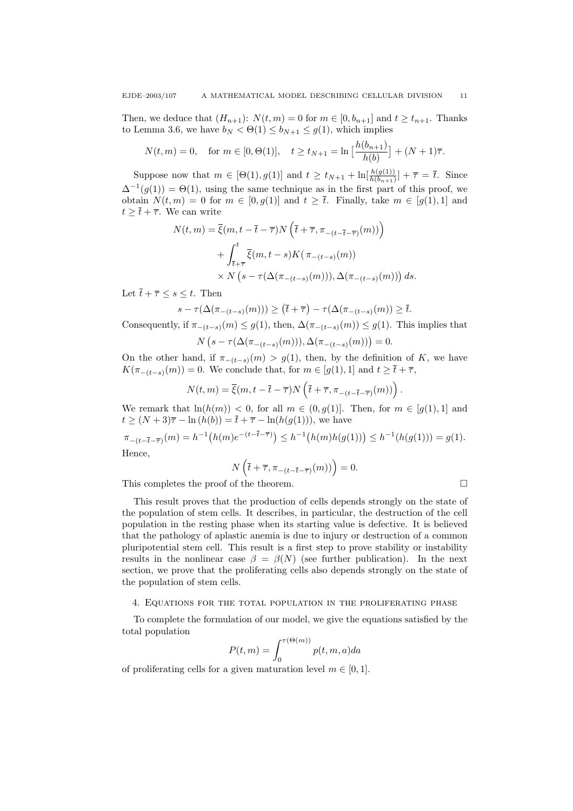Then, we deduce that  $(H_{n+1})$ :  $N(t, m) = 0$  for  $m \in [0, b_{n+1}]$  and  $t \ge t_{n+1}$ . Thanks to Lemma 3.6, we have  $b_N < \Theta(1) \le b_{N+1} \le g(1)$ , which implies

$$
N(t,m) = 0
$$
, for  $m \in [0, \Theta(1)],$   $t \ge t_{N+1} = \ln \left[ \frac{h(b_{n+1})}{h(b)} \right] + (N+1)\overline{\tau}$ .

Suppose now that  $m \in [\Theta(1), g(1)]$  and  $t \ge t_{N+1} + \ln[\frac{h(g(1))}{h(b_{n+1})}] + \overline{\tau} = \overline{t}$ . Since  $\Delta^{-1}(g(1)) = \Theta(1)$ , using the same technique as in the first part of this proof, we obtain  $N(t, m) = 0$  for  $m \in [0, g(1)]$  and  $t \geq \overline{t}$ . Finally, take  $m \in [g(1), 1]$  and  $t \geq \overline{t} + \overline{\tau}$ . We can write

$$
N(t,m) = \overline{\xi}(m, t - \overline{t} - \overline{\tau})N\left(\overline{t} + \overline{\tau}, \pi_{-(t - \overline{t} - \overline{\tau})}(m))\right)
$$

$$
+ \int_{\overline{t} + \overline{\tau}}^t \overline{\xi}(m, t - s)K(\pi_{-(t-s)}(m))
$$

$$
\times N\left(s - \tau(\Delta(\pi_{-(t-s)}(m))), \Delta(\pi_{-(t-s)}(m))\right)ds.
$$

Let  $\bar{t} + \bar{\tau} \leq s \leq t$ . Then

 $s - \tau(\Delta(\pi_{-(t-s)}(m))) \geq (\bar{t} + \bar{\tau}) - \tau(\Delta(\pi_{-(t-s)}(m))) \geq \bar{t}.$ 

Consequently, if  $\pi_{-(t-s)}(m) \leq g(1)$ , then,  $\Delta(\pi_{-(t-s)}(m)) \leq g(1)$ . This implies that  $N(s - \tau(\Delta(\pi_{-(t-s)}(m))), \Delta(\pi_{-(t-s)}(m))) = 0.$ 

On the other hand, if  $\pi_{-(t-s)}(m) > g(1)$ , then, by the definition of K, we have  $K(\pi_{-(t-s)}(m)) = 0$ . We conclude that, for  $m \in [g(1), 1]$  and  $t \geq \overline{t} + \overline{\tau}$ ,

$$
N(t,m) = \overline{\xi}(m, t - \overline{t} - \overline{\tau}) N\left(\overline{t} + \overline{\tau}, \pi_{-(t - \overline{t} - \overline{\tau})}(m))\right).
$$

We remark that  $\ln(h(m)) < 0$ , for all  $m \in (0, g(1)]$ . Then, for  $m \in [g(1), 1]$  and  $t \geq (N+3)\overline{\tau} - \ln(h(b)) = \overline{t} + \overline{\tau} - \ln(h(g(1))),$  we have

 $\pi_{-(t-\bar{t}-\bar{\tau})}(m) = h^{-1}(h(m)e^{-(t-\bar{t}-\bar{\tau})}) \leq h^{-1}(h(m)h(g(1))) \leq h^{-1}(h(g(1))) = g(1).$ Hence,

$$
N\left(\overline{t} + \overline{\tau}, \pi_{-(t-\overline{t}-\overline{\tau})}(m)\right) = 0.
$$

This completes the proof of the theorem.

This result proves that the production of cells depends strongly on the state of the population of stem cells. It describes, in particular, the destruction of the cell population in the resting phase when its starting value is defective. It is believed that the pathology of aplastic anemia is due to injury or destruction of a common pluripotential stem cell. This result is a first step to prove stability or instability results in the nonlinear case  $\beta = \beta(N)$  (see further publication). In the next section, we prove that the proliferating cells also depends strongly on the state of the population of stem cells.

## 4. Equations for the total population in the proliferating phase

To complete the formulation of our model, we give the equations satisfied by the total population

$$
P(t,m) = \int_0^{\tau(\Theta(m))} p(t,m,a)da
$$

of proliferating cells for a given maturation level  $m \in [0, 1]$ .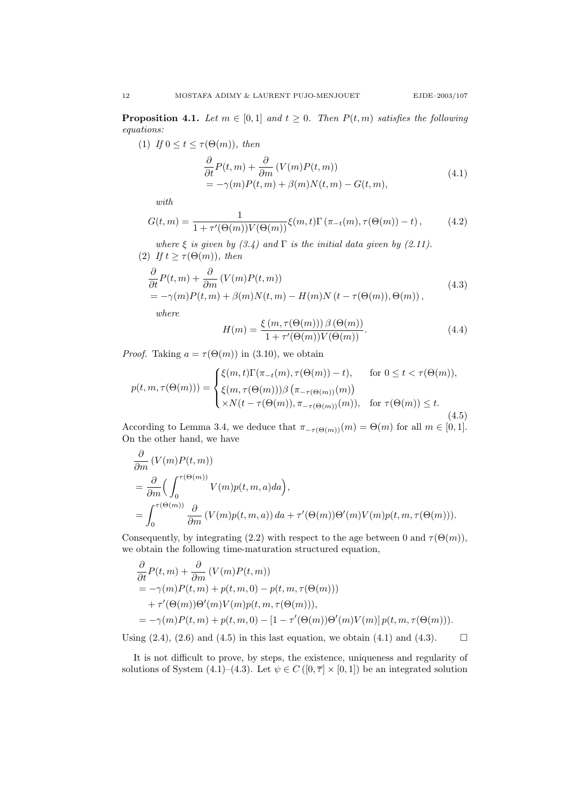**Proposition 4.1.** Let  $m \in [0,1]$  and  $t \geq 0$ . Then  $P(t,m)$  satisfies the following equations:

(1) If  $0 \le t \le \tau(\Theta(m))$ , then

$$
\frac{\partial}{\partial t}P(t,m) + \frac{\partial}{\partial m}(V(m)P(t,m))
$$
\n
$$
= -\gamma(m)P(t,m) + \beta(m)N(t,m) - G(t,m),
$$
\n(4.1)

with

$$
G(t,m) = \frac{1}{1 + \tau'(\Theta(m))V(\Theta(m))} \xi(m,t) \Gamma(\pi_{-t}(m), \tau(\Theta(m)) - t), \qquad (4.2)
$$

where  $\xi$  is given by (3.4) and  $\Gamma$  is the initial data given by (2.11). (2) If  $t \geq \tau(\Theta(m))$ , then

$$
\frac{\partial}{\partial t}P(t,m) + \frac{\partial}{\partial m}(V(m)P(t,m))
$$
\n
$$
= -\gamma(m)P(t,m) + \beta(m)N(t,m) - H(m)N(t-\tau(\Theta(m)),\Theta(m)),
$$
\n(4.3)

where

$$
H(m) = \frac{\xi(m, \tau(\Theta(m))) \beta(\Theta(m))}{1 + \tau'(\Theta(m)) V(\Theta(m))}.
$$
\n(4.4)

*Proof.* Taking  $a = \tau(\Theta(m))$  in (3.10), we obtain

$$
p(t, m, \tau(\Theta(m))) = \begin{cases} \xi(m, t) \Gamma(\pi_{-t}(m), \tau(\Theta(m)) - t), & \text{for } 0 \le t < \tau(\Theta(m)), \\ \xi(m, \tau(\Theta(m))) \beta(\pi_{-\tau(\Theta(m))}(m)) \\ \times N(t - \tau(\Theta(m)), \pi_{-\tau(\Theta(m))}(m)), & \text{for } \tau(\Theta(m)) \le t. \end{cases}
$$
(4.5)

According to Lemma 3.4, we deduce that  $\pi_{-\tau(\Theta(m))}(m) = \Theta(m)$  for all  $m \in [0,1]$ . On the other hand, we have

$$
\frac{\partial}{\partial m} (V(m)P(t, m))
$$
\n
$$
= \frac{\partial}{\partial m} \Big( \int_0^{\tau(\Theta(m))} V(m)p(t, m, a) da \Big),
$$
\n
$$
= \int_0^{\tau(\Theta(m))} \frac{\partial}{\partial m} (V(m)p(t, m, a)) da + \tau'(\Theta(m)) \Theta'(m) V(m)p(t, m, \tau(\Theta(m))).
$$

Consequently, by integrating (2.2) with respect to the age between 0 and  $\tau(\Theta(m))$ , we obtain the following time-maturation structured equation,

$$
\frac{\partial}{\partial t}P(t,m) + \frac{\partial}{\partial m}(V(m)P(t,m))
$$
\n
$$
= -\gamma(m)P(t,m) + p(t,m,0) - p(t,m,\tau(\Theta(m)))
$$
\n
$$
+ \tau'(\Theta(m))\Theta'(m)V(m)p(t,m,\tau(\Theta(m))),
$$
\n
$$
= -\gamma(m)P(t,m) + p(t,m,0) - [1 - \tau'(\Theta(m))\Theta'(m)V(m)]p(t,m,\tau(\Theta(m))).
$$

Using  $(2.4)$ ,  $(2.6)$  and  $(4.5)$  in this last equation, we obtain  $(4.1)$  and  $(4.3)$ .

It is not difficult to prove, by steps, the existence, uniqueness and regularity of solutions of System (4.1)–(4.3). Let  $\psi \in C([0, \overline{\tau}] \times [0, 1])$  be an integrated solution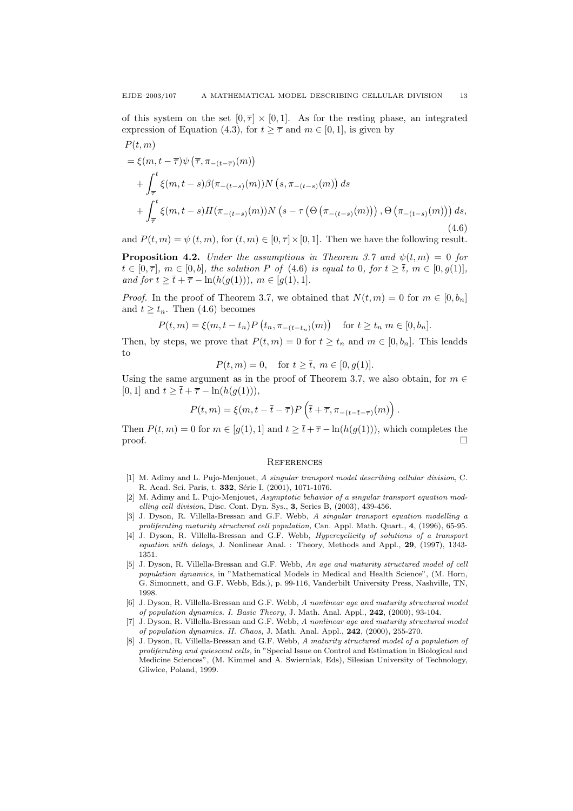$P(t, m)$ 

of this system on the set  $[0, \overline{\tau}] \times [0, 1]$ . As for the resting phase, an integrated expression of Equation (4.3), for  $t \geq \overline{\tau}$  and  $m \in [0, 1]$ , is given by

$$
= \xi(m, t - \overline{\tau}) \psi \left( \overline{\tau}, \pi_{-(t-\overline{\tau})}(m) \right)
$$
  
+  $\int_{\overline{\tau}}^{t} \xi(m, t - s) \beta(\pi_{-(t-s)}(m)) N \left( s, \pi_{-(t-s)}(m) \right) ds$   
+  $\int_{\overline{\tau}}^{t} \xi(m, t - s) H(\pi_{-(t-s)}(m)) N \left( s - \tau \left( \Theta \left( \pi_{-(t-s)}(m) \right) \right), \Theta \left( \pi_{-(t-s)}(m) \right) \right) ds,$   
(4.6)

and  $P(t, m) = \psi(t, m)$ , for  $(t, m) \in [0, \overline{\tau}] \times [0, 1]$ . Then we have the following result.

**Proposition 4.2.** Under the assumptions in Theorem 3.7 and  $\psi(t,m) = 0$  for  $t \in [0, \overline{\tau}], m \in [0, b],$  the solution P of (4.6) is equal to 0, for  $t \geq \overline{t}, m \in [0, g(1)],$ and for  $t \geq \overline{t} + \overline{\tau} - \ln(h(g(1))), m \in [g(1), 1].$ 

*Proof.* In the proof of Theorem 3.7, we obtained that  $N(t, m) = 0$  for  $m \in [0, b_n]$ and  $t \geq t_n$ . Then (4.6) becomes

$$
P(t,m) = \xi(m, t - t_n) P(t_n, \pi_{-(t - t_n)}(m)) \quad \text{for } t \ge t_n \ m \in [0, b_n].
$$

Then, by steps, we prove that  $P(t, m) = 0$  for  $t \ge t_n$  and  $m \in [0, b_n]$ . This leadds to

$$
P(t, m) = 0
$$
, for  $t \ge \bar{t}$ ,  $m \in [0, g(1)]$ .

Using the same argument as in the proof of Theorem 3.7, we also obtain, for  $m \in \mathbb{R}$ [0, 1] and  $t \geq \overline{t} + \overline{\tau} - \ln(h(g(1))),$ 

$$
P(t,m) = \xi(m,t-\bar{t}-\overline{\tau})P\left(\bar{t}+\overline{\tau},\pi_{-(t-\bar{t}-\overline{\tau})}(m)\right).
$$

Then  $P(t, m) = 0$  for  $m \in [g(1), 1]$  and  $t \geq \overline{t} + \overline{\tau} - \ln(h(g(1))),$  which completes the  $\Box$ 

#### **REFERENCES**

- [1] M. Adimy and L. Pujo-Menjouet, A singular transport model describing cellular division, C. R. Acad. Sci. Paris, t. 332, Série I, (2001), 1071-1076.
- [2] M. Adimy and L. Pujo-Menjouet, Asymptotic behavior of a singular transport equation modelling cell division, Disc. Cont. Dyn. Sys., 3, Series B, (2003), 439-456.
- [3] J. Dyson, R. Villella-Bressan and G.F. Webb, A singular transport equation modelling a proliferating maturity structured cell population, Can. Appl. Math. Quart., 4, (1996), 65-95.
- [4] J. Dyson, R. Villella-Bressan and G.F. Webb, Hypercyclicity of solutions of a transport equation with delays, J. Nonlinear Anal. : Theory, Methods and Appl., 29, (1997), 1343-1351.
- [5] J. Dyson, R. Villella-Bressan and G.F. Webb, An age and maturity structured model of cell population dynamics, in "Mathematical Models in Medical and Health Science", (M. Horn, G. Simonnett, and G.F. Webb, Eds.), p. 99-116, Vanderbilt University Press, Nashville, TN, 1998.
- [6] J. Dyson, R. Villella-Bressan and G.F. Webb, A nonlinear age and maturity structured model of population dynamics. I. Basic Theory, J. Math. Anal. Appl., 242, (2000), 93-104.
- [7] J. Dyson, R. Villella-Bressan and G.F. Webb, A nonlinear age and maturity structured model of population dynamics. II. Chaos, J. Math. Anal. Appl., 242, (2000), 255-270.
- [8] J. Dyson, R. Villella-Bressan and G.F. Webb, A maturity structured model of a population of proliferating and quiescent cells, in "Special Issue on Control and Estimation in Biological and Medicine Sciences", (M. Kimmel and A. Swierniak, Eds), Silesian University of Technology, Gliwice, Poland, 1999.